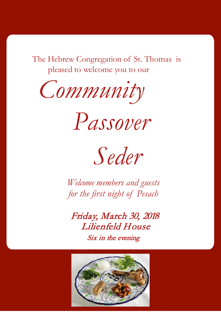The Hebrew Congregation of St. Thomas is pleased to welcome you to our



*Seder*

*Welcome members and guests for the first night of Pesach*

Friday, March 30, 2018 Lilienfeld House Six in the evening

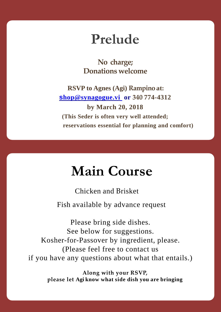### **Prelude**

**No charge; Donations welcome**

**RSVP to Agnes (Agi) Rampino at: [s](mailto:gshop@synagogue.vi)[hop@synagogue.vi](mailto:gshop@synagogue.vi) or 340 774-4312 by March 20, 2018 (This Seder is often very well attended; reservations essential for planning and comfort)**

## **Main Course**

Chicken and <sup>B</sup>risket

Fish available by advance request

Please bring side dishes. See below for suggestions. Kosher-for-Passover by ingredient, please. (Please feel free to contact us if you have any questions about what that entails.)

> **Along with your RSVP, please let Agi know what side dish you are bringing**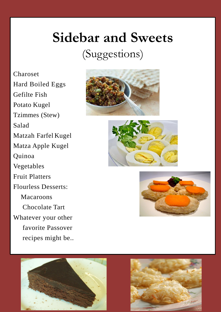# **Sidebar and Sweets**

#### (Suggestions)

Charoset Hard Boiled Eggs Gefilte Fish Potato Kugel Tzimmes (Stew) Salad Matzah Farfel Kugel Matza Apple Kugel Quinoa Vegetables Fruit Platters Flourless Desserts: Macaroons Chocolate Tart Whatever your other favorite Passover recipes might be..